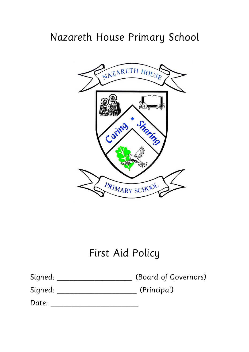# Nazareth House Primary School



# First Aid Policy

| Signed: |  | (Board of Governors) |
|---------|--|----------------------|
|         |  |                      |

Signed: \_\_\_\_\_\_\_\_\_\_\_\_\_\_\_\_\_\_\_ (Principal)

Date: \_\_\_\_\_\_\_\_\_\_\_\_\_\_\_\_\_\_\_\_\_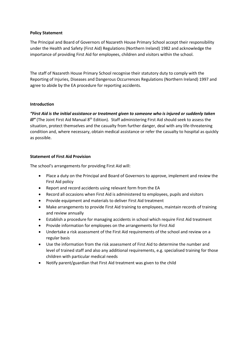#### **Policy Statement**

The Principal and Board of Governors of Nazareth House Primary School accept their responsibility under the Health and Safety (First Aid) Regulations (Northern Ireland) 1982 and acknowledge the importance of providing First Aid for employees, children and visitors within the school.

The staff of Nazareth House Primary School recognise their statutory duty to comply with the Reporting of Injuries, Diseases and Dangerous Occurrences Regulations (Northern Ireland) 1997 and agree to abide by the EA procedure for reporting accidents.

# **Introduction**

*"First Aid is the initial assistance or treatment given to someone who is injured or suddenly taken ill"* (The Joint First Aid Manual 8<sup>th</sup> Edition). Staff administering First Aid should seek to assess the situation, protect themselves and the casualty from further danger, deal with any life-threatening condition and, where necessary, obtain medical assistance or refer the casualty to hospital as quickly as possible.

# **Statement of First Aid Provision**

The school's arrangements for providing First Aid will:

- Place a duty on the Principal and Board of Governors to approve, implement and review the First Aid policy
- Report and record accidents using relevant form from the EA
- Record all occasions when First Aid is administered to employees, pupils and visitors
- Provide equipment and materials to deliver First Aid treatment
- Make arrangements to provide First Aid training to employees, maintain records of training and review annually
- Establish a procedure for managing accidents in school which require First Aid treatment
- Provide information for employees on the arrangements for First Aid
- Undertake a risk assessment of the First Aid requirements of the school and review on a regular basis
- Use the information from the risk assessment of First Aid to determine the number and level of trained staff and also any additional requirements, e.g. specialised training for those children with particular medical needs
- Notify parent/guardian that First Aid treatment was given to the child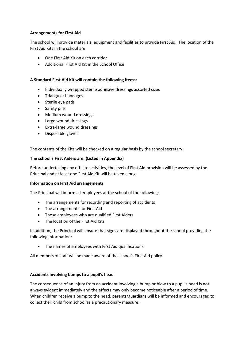# **Arrangements for First Aid**

The school will provide materials, equipment and facilities to provide First Aid. The location of the First Aid Kits in the school are:

- One First Aid Kit on each corridor
- Additional First Aid Kit in the School Office

#### **A Standard First Aid Kit will contain the following items:**

- Individually wrapped sterile adhesive dressings assorted sizes
- Triangular bandages
- Sterile eye pads
- Safety pins
- Medium wound dressings
- Large wound dressings
- Extra-large wound dressings
- Disposable gloves

The contents of the Kits will be checked on a regular basis by the school secretary.

#### **The school's First Aiders are: (Listed in Appendix)**

Before undertaking any off-site activities, the level of First Aid provision will be assessed by the Principal and at least one First Aid Kit will be taken along.

#### **Information on First Aid arrangements**

The Principal will inform all employees at the school of the following:

- The arrangements for recording and reporting of accidents
- The arrangements for First Aid
- Those employees who are qualified First Aiders
- The location of the First Aid Kits

In addition, the Principal will ensure that signs are displayed throughout the school providing the following information:

The names of employees with First Aid qualifications

All members of staff will be made aware of the school's First Aid policy.

#### **Accidents involving bumps to a pupil's head**

The consequence of an injury from an accident involving a bump or blow to a pupil's head is not always evident immediately and the effects may only become noticeable after a period of time. When children receive a bump to the head, parents/guardians will be informed and encouraged to collect their child from school as a precautionary measure.